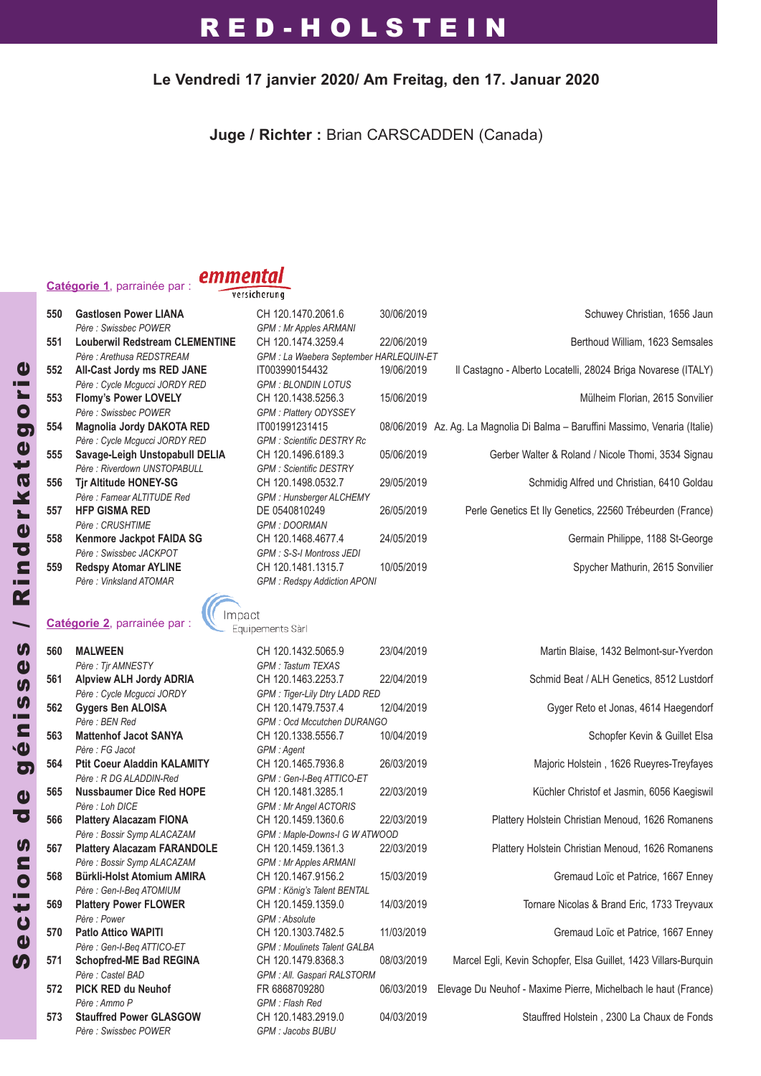### **Le Vendredi 17 janvier 2020/ Am Freitag, den 17. Januar 2020**

**Juge / Richter :** Brian CARSCADDEN (Canada)

### **Catégorie 1**, parrainée par :

### emmental

versicherung

| 550 | <b>Gastlosen Power LIANA</b><br>Père : Swissbec POWER | CH 120.1470.2061.6<br><b>GPM: Mr Apples ARMANI</b> | 30/06/2019 | Schuwey Christian, 1656 Jaun                                                  |
|-----|-------------------------------------------------------|----------------------------------------------------|------------|-------------------------------------------------------------------------------|
| 551 | <b>Louberwil Redstream CLEMENTINE</b>                 | CH 120.1474.3259.4                                 | 22/06/2019 | Berthoud William, 1623 Semsales                                               |
|     | Père : Arethusa REDSTREAM                             | GPM : La Waebera September HARLEQUIN-ET            |            |                                                                               |
| 552 | All-Cast Jordy ms RED JANE                            | IT003990154432                                     | 19/06/2019 | Il Castagno - Alberto Locatelli, 28024 Briga Novarese (ITALY)                 |
|     | Père : Cycle Mcqucci JORDY RED                        | <b>GPM: BLONDIN LOTUS</b>                          |            |                                                                               |
| 553 | <b>Flomy's Power LOVELY</b>                           | CH 120.1438.5256.3                                 | 15/06/2019 | Mülheim Florian, 2615 Sonvilier                                               |
|     | Père : Swissbec POWER                                 | <b>GPM: Plattery ODYSSEY</b>                       |            |                                                                               |
| 554 | Magnolia Jordy DAKOTA RED                             | IT001991231415                                     |            | 08/06/2019 Az. Ag. La Magnolia Di Balma - Baruffini Massimo, Venaria (Italie) |
|     | Père : Cycle Mcgucci JORDY RED                        | <b>GPM: Scientific DESTRY Rc</b>                   |            |                                                                               |
| 555 | Savage-Leigh Unstopabull DELIA                        | CH 120.1496.6189.3                                 | 05/06/2019 | Gerber Walter & Roland / Nicole Thomi, 3534 Signau                            |
|     | Père : Riverdown UNSTOPABULL                          | <b>GPM: Scientific DESTRY</b>                      |            |                                                                               |
| 556 | <b>Tir Altitude HONEY-SG</b>                          | CH 120.1498.0532.7                                 | 29/05/2019 | Schmidig Alfred und Christian, 6410 Goldau                                    |
|     | Père : Farnear ALTITUDE Red                           | GPM: Hunsberger ALCHEMY                            |            |                                                                               |
| 557 | <b>HFP GISMA RED</b>                                  | DE 0540810249                                      | 26/05/2019 | Perle Genetics Et Ily Genetics, 22560 Trébeurden (France)                     |
|     | Père : CRUSHTIME                                      | <b>GPM: DOORMAN</b>                                |            |                                                                               |
| 558 | Kenmore Jackpot FAIDA SG                              | CH 120.1468.4677.4                                 | 24/05/2019 | Germain Philippe, 1188 St-George                                              |
|     | Père : Swissbec JACKPOT                               | GPM : S-S-I Montross JEDI                          |            |                                                                               |
| 559 | <b>Redspy Atomar AYLINE</b>                           | CH 120.1481.1315.7                                 | 10/05/2019 | Spycher Mathurin, 2615 Sonvilier                                              |
|     | Père: Vinksland ATOMAR                                | <b>GPM: Redspy Addiction APONI</b>                 |            |                                                                               |
|     |                                                       |                                                    |            |                                                                               |

### Catégorie 2, parrainée par : **Catégorie 2**, parrainée par :

| 560 | <b>MALWEEN</b>                     | CH 120.1432.5065.9                   | 2:             |
|-----|------------------------------------|--------------------------------------|----------------|
|     | Père: Tjr AMNESTY                  | <b>GPM: Tastum TEXAS</b>             |                |
| 561 | <b>Alpview ALH Jordy ADRIA</b>     | CH 120.1463.2253.7                   | $\overline{2}$ |
|     | Père : Cycle Mcgucci JORDY         | <b>GPM: Tiger-Lily Dtry LADD RED</b> |                |
| 562 | <b>Gygers Ben ALOISA</b>           | CH 120.1479.7537.4                   | 1:             |
|     | Père : BEN Red                     | <b>GPM: Ocd Mccutchen DURANGO</b>    |                |
| 563 | <b>Mattenhof Jacot SANYA</b>       | CH 120.1338.5556.7                   | 1 <sub>1</sub> |
|     | Père : FG Jacot                    | GPM : Agent                          |                |
| 564 | <b>Ptit Coeur Aladdin KALAMITY</b> | CH 120.1465.7936.8                   | $\overline{2}$ |
|     | Père : R DG ALADDIN-Red            | GPM: Gen-I-Beg ATTICO-ET             |                |
| 565 | <b>Nussbaumer Dice Red HOPE</b>    | CH 120.1481.3285.1                   | $2^{\circ}$    |
|     | Père : Loh DICE                    | <b>GPM: Mr Angel ACTORIS</b>         |                |
| 566 | <b>Plattery Alacazam FIONA</b>     | CH 120.1459.1360.6                   | $2^{\circ}$    |
|     | Père : Bossir Symp ALACAZAM        | GPM : Maple-Downs-I G W ATWO         |                |
| 567 | <b>Plattery Alacazam FARANDOLE</b> | CH 120.1459.1361.3                   | 2:             |
|     | Père : Bossir Symp ALACAZAM        | <b>GPM: Mr Apples ARMANI</b>         |                |
| 568 | <b>Bürkli-Holst Atomium AMIRA</b>  | CH 120.1467.9156.2                   | 1              |
|     | Père : Gen-I-Beg ATOMIUM           | GPM : König's Talent BENTAL          |                |
| 569 | <b>Plattery Power FLOWER</b>       | CH 120.1459.1359.0                   | 1.             |
|     | Père · Power                       | GPM: Absolute                        |                |
| 570 | <b>Patlo Attico WAPITI</b>         | CH 120.1303.7482.5                   | $\mathbf{1}$   |
|     | Père : Gen-I-Beg ATTICO-ET         | <b>GPM: Moulinets Talent GALBA</b>   |                |
| 571 | <b>Schopfred-ME Bad REGINA</b>     | CH 120.1479.8368.3                   | 0              |
|     | Père : Castel BAD                  | GPM : All. Gaspari RALSTORM          |                |
| 572 | <b>PICK RED du Neuhof</b>          | FR 6868709280                        | 0              |
|     | Père : Ammo P                      | GPM : Flash Red                      |                |
| 573 | <b>Stauffred Power GLASGOW</b>     | CH 120.1483.2919.0                   | 0              |

| <b>MALWEEN</b>                     | CH 120.1432.5065.9                   | 23/04/2019 |   |
|------------------------------------|--------------------------------------|------------|---|
| Père: Tir AMNESTY                  | <b>GPM: Tastum TEXAS</b>             |            |   |
| <b>Alpview ALH Jordy ADRIA</b>     | CH 120.1463.2253.7                   | 22/04/2019 |   |
| Père : Cycle Mcgucci JORDY         | <b>GPM: Tiger-Lily Dtry LADD RED</b> |            |   |
| Gygers Ben ALOISA                  | CH 120.1479.7537.4                   | 12/04/2019 |   |
| Père · RFN Red                     | <b>GPM: Ocd Mccutchen DURANGO</b>    |            |   |
| <b>Mattenhof Jacot SANYA</b>       | CH 120.1338.5556.7                   | 10/04/2019 |   |
| Père : FG Jacot                    | GPM : Agent                          |            |   |
| <b>Ptit Coeur Aladdin KALAMITY</b> | CH 120.1465.7936.8                   | 26/03/2019 |   |
| Père : R DG ALADDIN-Red            | GPM: Gen-I-Beg ATTICO-ET             |            |   |
| <b>Nussbaumer Dice Red HOPE</b>    | CH 120.1481.3285.1                   | 22/03/2019 |   |
| Père : Loh DICF                    | <b>GPM: Mr Angel ACTORIS</b>         |            |   |
| <b>Plattery Alacazam FIONA</b>     | CH 120.1459.1360.6                   | 22/03/2019 |   |
| Père : Bossir Symp ALACAZAM        | GPM: Maple-Downs-I G W ATWOOD        |            |   |
| <b>Plattery Alacazam FARANDOLE</b> | CH 120.1459.1361.3                   | 22/03/2019 |   |
| Père : Bossir Symp ALACAZAM        | <b>GPM: Mr Apples ARMANI</b>         |            |   |
| Bürkli-Holst Atomium AMIRA         | CH 120 1467 9156 2                   | 15/03/2019 |   |
| Père : Gen-I-Beg ATOMIUM           | GPM : König's Talent BENTAL          |            |   |
| <b>Plattery Power FLOWER</b>       | CH 120.1459.1359.0                   | 14/03/2019 |   |
| Père · Power                       | GPM : Absolute                       |            |   |
| <b>Patlo Attico WAPITI</b>         | CH 120.1303.7482.5                   | 11/03/2019 |   |
| Père : Gen-I-Beq ATTICO-ET         | <b>GPM: Moulinets Talent GALBA</b>   |            |   |
| <b>Schopfred-ME Bad REGINA</b>     | CH 120.1479.8368.3                   | 08/03/2019 |   |
| Père Castel BAD                    | GPM : All. Gaspari RALSTORM          |            |   |
| PICK RED du Neuhof                 | FR 6868709280                        | 06/03/2019 | E |
| Père · Ammo P                      | GPM : Flash Red                      |            |   |
| <b>Stauffred Power GLASGOW</b>     | CH 120.1483.2919.0                   | 04/03/2019 |   |
| Père : Swissbec POWER              | GPM : Jacobs BUBU                    |            |   |
|                                    |                                      |            |   |

**Martin Blaise, 1432 Belmont-sur-Yverdon Schmid Beat / ALH Genetics, 8512 Lustdorf Gyger Reto et Jonas, 4614 Haegendorf Schopfer Kevin & Guillet Elsa Maioric Holstein , 1626 Ruevres-Treyfayes Küchler Christof et Jasmin, 6056 Kaegiswil Plattery Holstein Christian Menoud, 1626 Romanens Plattery Holstein Christian Menoud, 1626 Romanens Gremaud Loïc et Patrice, 1667 Enney Tornare Nicolas & Brand Eric, 1733 Treyvaux Gremaud Loïc et Patrice, 1667 Enney Marcel Egli, Kevin Schopfer, Elsa Guillet, 1423 Villars-Burguin 572 PICK REd du Neuhof** FR 6868709280 06/03/2019 Elevage Du Neuhof - Maxime Pierre, Michelbach le haut (France) **Stauffred Holstein, 2300 La Chaux de Fonds**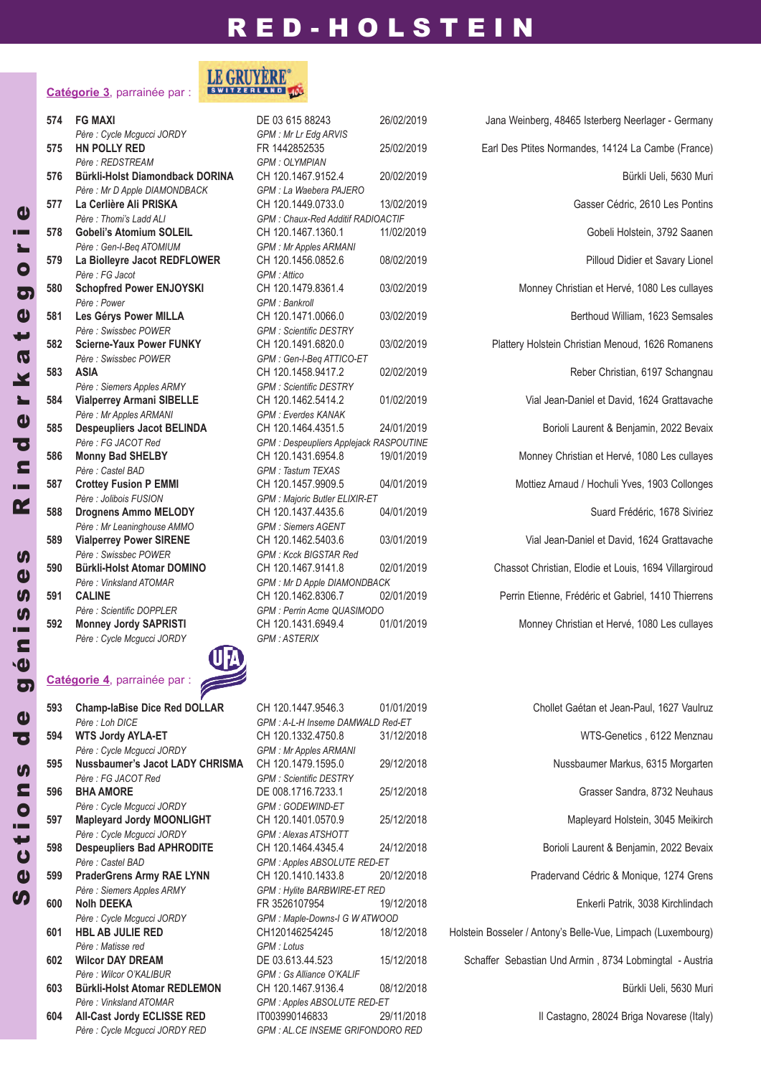### **Catégorie 3**, parrainée par :

| 574 | <b>FG MAXI</b>                                 |
|-----|------------------------------------------------|
|     | Père : Cycle Mcgucci JORDY                     |
| 575 | <b>HN POLLY RED</b>                            |
|     | Père: REDSTREAM                                |
| 576 | Bürkli-Holst Diamondback DOR                   |
|     | Père : Mr D Apple DIAMONDBACK                  |
| 577 | La Cerlière Ali PRISKA                         |
|     | Père: Thomi's Ladd ALI                         |
| 578 | <b>Gobeli's Atomium SOLEIL</b>                 |
|     | Père : Gen-I-Beg ATOMIUM                       |
| 579 | La Biolleyre Jacot REDFLOWER                   |
|     | Père : FG Jacot                                |
| 580 | <b>Schopfred Power ENJOYSKI</b>                |
|     | Père : Power                                   |
| 581 | Les Gérys Power MILLA<br>Père : Swissbec POWER |
| 582 | <b>Scierne-Yaux Power FUNKY</b>                |
|     | Père : Swissbec POWER                          |
| 583 | <b>ASIA</b>                                    |
|     | Père : Siemers Apples ARMY                     |
| 584 | <b>Vialperrey Armani SIBELLE</b>               |
|     | Père : Mr Apples ARMANI                        |
| 585 | <b>Despeupliers Jacot BELINDA</b>              |
|     | Père : FG JACOT Red                            |
| 586 | <b>Monny Bad SHELBY</b>                        |
|     | Père : Castel BAD                              |
| 587 | <b>Crottey Fusion P EMMI</b>                   |
|     | Père : Jolibois FUSION                         |
| 588 | <b>Drognens Ammo MELODY</b>                    |
|     | Père : Mr Leaninghouse AMMO                    |
| 589 | <b>Vialperrey Power SIRENE</b>                 |
|     | Père : Swissbec POWER                          |
| 590 | <b>Bürkli-Holst Atomar DOMINO</b>              |
|     | Père: Vinksland ATOMAR                         |
| 591 | <b>CALINE</b>                                  |
|     | Père : Scientific DOPPLER                      |
| 592 | <b>Monney Jordy SAPRISTI</b>                   |
|     | Père : Cycle Mcaucci JORDY                     |



| 593  | <b>Champ-laBise Dice Red DOLLAR</b> |
|------|-------------------------------------|
|      | Père : Loh DICE                     |
| 594  | <b>WTS Jordy AYLA-ET</b>            |
|      | Père : Cycle Mcqucci JORDY          |
| 595  | Nussbaumer's Jacot LADY CHRISMA     |
|      | Père : FG JACOT Red                 |
| 596  | <b>BHA AMORE</b>                    |
|      | Père : Cycle Mcqucci JORDY          |
| 597  | <b>Mapleyard Jordy MOONLIGHT</b>    |
|      | Père : Cycle Mcqucci JORDY          |
| 598  | <b>Despeupliers Bad APHRODITE</b>   |
|      | Père : Castel BAD                   |
| 599  | <b>PraderGrens Army RAE LYNN</b>    |
|      | Père : Siemers Apples ARMY          |
| 600  | <b>Nolh DEEKA</b>                   |
|      | Père : Cycle Mcgucci JORDY          |
| 601  | <b>HBL AB JULIE RED</b>             |
|      | Père · Matisse red                  |
| 602  | <b>Wilcor DAY DREAM</b>             |
|      | Père : Wilcor O'KALIBUR             |
| 603  | <b>Bürkli-Holst Atomar REDLEMON</b> |
|      | Père · Vinksland ATOMAR             |
| 60 A | All_Cact Tordy FCI ISSE DED         |

**Catégorie 4**, parrainée par :



*Père : Cycle Mcgucci JORDY GPM : Mr Lr Edg ARVIS*  $GPM$  *: OLYMPIAN Père : Mr D Apple DIAMONDBACK GPM : La Waebera PAJERO Père : Thomi's Ladd ALI GPM : Chaux-Red Additif RADIOACTIF*  $GPM$  *: Mr Apples ARMANI Père : FG Jacot GPM : Attico Père : Power GPM : Bankroll*  $GPM$  *: Scientific DESTRY Père : Swissbec POWER GPM : Gen-I-Beq ATTICO-ET Père : Siemers Apples ARMY GPM : Scientific DESTRY Père : Mr Apples ARMANI GPM : Everdes KANAK*  $GPM$  *: Despeupliers Applejack RASPOUTINE Père : Castel BAD GPM : Tastum TEXAS Père : Jolibois FUSION GPM : Majoric Butler ELIXIR-ET Père : Mr Leaninghouse AMMO GPM : Siemers AGENT Père : Swissbec POWER GPM : Kcck BIGSTAR Red Père : Vinksland ATOMAR GPM : Mr D Apple DIAMONDBACK Père : Scientific DOPPLER GPM : Perrin Acme QUASIMODO*  $GPM$  *: ASTERIX* 

*Père : Loh DICE GPM : A-L-H Inseme DAMWALD Red-ET Père : Cycle Mcgucci JORDY GPM : Mr Apples ARMANI Père : FG JACOT Red GPM : Scientific DESTRY Père : Cycle Mcgucci JORDY GPM : GODEWIND-ET Père : Cycle Mcgucci JORDY GPM : Alexas ATSHOTT Père : Castel BAD GPM : Apples ABSOLUTE RED-ET Père : Siemers Apples ARMY GPM : Hylite BARBWIRE-ET RED*  $GPM$  *: Maple-Downs-I G WATWOOD*  $GPM:$  *Lotus*  $GPM$  *: Gs Alliance O'KALIF Père : Vinksland ATOMAR GPM : Apples ABSOLUTE RED-ET* **6044 6044 Briga Red IT003990146833** 29/11/2018 **1204** Briga Novarese (Italy) *Père : Cycle Mcgucci JORDY RED GPM : AL.CE INSEME GRIFONDORO RED*

 **FG MAXI** DE 03 615 88243 26/02/2019 Jana Weinberg, 48465 Isterberg Neerlager - Germany **HN POLLY REd** FR 1442852535 25/02/2019 Earl Des Ptites Normandes, 14124 La Cambe (France) **Bürkli-John CH 120.1467.9152.4 20/02/2019** Bürkli-John Bürkli-Ueli, 5630 Muri **La Cerlière Ali PRISKA** CH 120.1449.0733.0 13/02/2019 Gasser Cédric, 2610 Les Pontins **Gobeli's Atomium SOLEIL** CH 120.1467.1360.1 11/02/2019 Gobeli Holstein, 3792 Saanen **La Biolleyre Jacot REdFLOWER** CH 120.1456.0852.6 08/02/2019 Pilloud Didier et Savary Lionel **Schopfred Power ENJOYSKI** CH 120.1479.8361.4 03/02/2019 Monney Christian et Hervé, 1080 Les cullayes **Les Gérys Power MILLA** CH 120.1471.0066.0 03/02/2019 Berthoud William, 1623 Semsales **Scierne-Yaux Power FUNKY** CH 120.1491.6820.0 03/02/2019 Plattery Holstein Christian Menoud, 1626 Romanens **ASIA** CH 120.1458.9417.2 02/02/2019 Reber Christian, 6197 Schangnau **Vialperrey Armani SIBELLE** CH 120.1462.5414.2 01/02/2019 Vial Jean-Daniel et David, 1624 Grattavache **despeupliers Jacot BELINdA** CH 120.1464.4351.5 24/01/2019 Borioli Laurent & Benjamin, 2022 Bevaix **Monny Bad SHELBY** CH 120.1431.6954.8 19/01/2019 Monney Christian et Hervé, 1080 Les cullayes **Crottey Fusion P EMMI** CH 120.1457.9909.5 04/01/2019 Mottiez Arnaud / Hochuli Yves, 1903 Collonges **drognens Ammo MELOdY** CH 120.1437.4435.6 04/01/2019 Suard Frédéric, 1678 Siviriez **Vialperrey Power SIRENE** CH 120.1462.5403.6 03/01/2019 Vial Jean-Daniel et David, 1624 Grattavache **Bürkli-Holst Atomar dOMINO** CH 120.1467.9141.8 02/01/2019 Chassot Christian, Elodie et Louis, 1694 Villargiroud **CALINE** CH 120.1462.8306.7 02/01/2019 Perrin Etienne, Frédéric et Gabriel, 1410 Thierrens **Monney Jordy SAPRISTI** CH 120.1431.6949.4 01/01/2019 Monney Christian et Hervé, 1080 Les cullayes

 **Champ-laBise dice Red dOLLAR** CH 120.1447.9546.3 01/01/2019 Chollet Gaétan et Jean-Paul, 1627 Vaulruz **WTS Jordy AYLA-ET** CH 120.1332.4750.8 31/12/2018 WTS-Genetics , 6122 Menznau **Nussbaumer's Jacot LAdY CHRISMA** CH 120.1479.1595.0 29/12/2018 Nussbaumer Markus, 6315 Morgarten **BHA AMORE** DE 008.1716.7233.1 25/12/2018 Grasser Sandra, 8732 Neuhaus **Mapleyard Jordy MOONLIGHT** CH 120.1401.0570.9 25/12/2018 Mapleyard Holstein, 3045 Meikirch **despeupliers Bad APHROdITE** CH 120.1464.4345.4 24/12/2018 Borioli Laurent & Benjamin, 2022 Bevaix **PraderGrens Army RAE LYNN** CH 120.1410.1433.8 20/12/2018 Pradervand Cédric & Monique, 1274 Grens **Nolh dEEKA** FR 3526107954 19/12/2018 Enkerli Patrik, 3038 Kirchlindach **HBL AB JULIE REd** CH120146254245 18/12/2018 Holstein Bosseler / Antony's Belle-Vue, Limpach (Luxembourg) **Wilcor dAY dREAM** DE 03.613.44.523 15/12/2018 Schaffer Sebastian Und Armin , 8734 Lobmingtal - Austria **Bürkli-Holst Atomar REdLEMON** CH 120.1467.9136.4 08/12/2018 Bürkli Ueli, 5630 Muri

 $\mathbf d$ 

 $\boldsymbol{\eta}$  $\boldsymbol{\Phi}$  $\boldsymbol{\mathsf{U}}$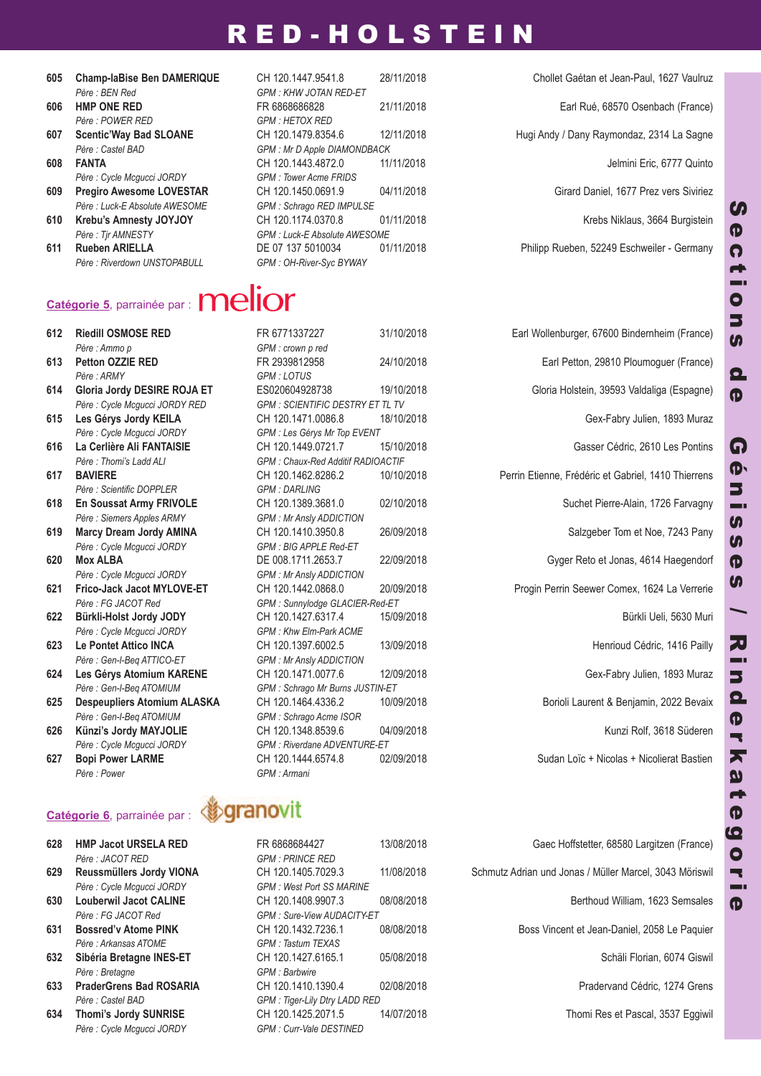- 
- *Père : POWER RED GPM : HETOX RED*
- 
- *Père : Cycle Mcgucci JORDY GPM : Tower Acme FRIDS*
- *Père : Luck-E Absolute AWESOME GPM : Schrago RED IMPULSE*
- - *Père : Riverdown UNSTOPABULL GPM : OH-River-Syc BYWAY*

 **Champ-laBise Ben dAMERIQUE** CH 120.1447.9541.8 28/11/2018 Chollet Gaétan et Jean-Paul, 1627 Vaulruz *Père : BEN Red GPM : KHW JOTAN RED-ET* **HMP ONE REd** FR 6868686828 21/11/2018 Earl Rué, 68570 Osenbach (France) *Père : Castel BAD GPM : Mr D Apple DIAMONDBACK* **FANTA** CH 120.1443.4872.0 11/11/2018 Jelmini Eric, 6777 Quinto **Pregiro Awesome LOVESTAR** CH 120.1450.0691.9 04/11/2018 Girard Daniel, 1677 Prez vers Siviriez **Krebu's Amnesty JOYJOY** CH 120.1174.0370.8 01/11/2018 Krebs Niklaus, 3664 Burgistein *Père : Tjr AMNESTY GPM : Luck-E Absolute AWESOME*

**607 Scentic'Way Bad SLOANE** CH 120.1479.8354.6 12/11/2018 Hugi Andy / Dany Raymondaz, 2314 La Sagne

**611 Rueben ARIELLA** DE 07 137 5010034 01/11/2018 Philipp Rueben, 52249 Eschweiler - Germany

# Catégorie 5, parrainée par : **melion**

*Père : Ammo p GPM : crown p red Père : ARMY GPM : LOTUS Père : Cycle Mcgucci JORDY GPM : Les Gérys Mr Top EVENT Père : Scientific DOPPLER GPM : DARLING Père : Siemers Apples ARMY GPM : Mr Ansly ADDICTION Père : Cycle Mcgucci JORDY GPM : BIG APPLE Red-ET Père : Cycle Mcgucci JORDY GPM : Mr Ansly ADDICTION Père : FG JACOT Red GPM : Sunnylodge GLACIER-Red-ET Père : Cycle Mcgucci JORDY GPM : Khw Elm-Park ACME Père : Gen-I-Beq ATTICO-ET GPM : Mr Ansly ADDICTION Père : Gen-I-Beq ATOMIUM GPM : Schrago Mr Burns JUSTIN-ET Père : Gen-I-Beq ATOMIUM GPM : Schrago Acme ISOR Père : Cycle Mcgucci JORDY GPM : Riverdane ADVENTURE-ET Père : Power GPM : Armani*

### **Catégorie 6**, parrainée par :

- *Père : JACOT RED GPM : PRINCE RED*
- *Père : Cycle Mcgucci JORDY GPM : West Port SS MARINE*
- 
- *Père : Arkansas ATOME GPM : Tastum TEXAS*
- *Père : Bretagne GPM : Barbwire*
- *Père : Castel BAD GPM : Tiger-Lily Dtry LADD RED*
- *Père : Cycle Mcgucci JORDY GPM : Curr-Vale DESTINED*

*Père : Cycle Mcgucci JORDY RED GPM : SCIENTIFIC DESTRY ET TL TV Père : Thomi's Ladd ALI GPM : Chaux-Red Additif RADIOACTIF*

 **Riedill OSMOSE REd** FR 6771337227 31/10/2018 Earl Wollenburger, 67600 Bindernheim (France) **Petton OZZIE REd** FR 2939812958 24/10/2018 Earl Petton, 29810 Ploumoguer (France) **Gloria Jordy dESIRE ROJA ET** ES020604928738 19/10/2018 Gloria Holstein, 39593 Valdaliga (Espagne) **Les Gérys Jordy KEILA** CH 120.1471.0086.8 18/10/2018 Gex-Fabry Julien, 1893 Muraz **La Cerlière Ali FANTAISIE** CH 120.1449.0721.7 15/10/2018 Gasser Cédric, 2610 Les Pontins **BAVIERE** CH 120.1462.8286.2 10/10/2018 Perrin Etienne, Frédéric et Gabriel, 1410 Thierrens **En Soussat Army FRIVOLE** CH 120.1389.3681.0 02/10/2018 Suchet Pierre-Alain, 1726 Farvagny **Marcy dream Jordy AMINA** CH 120.1410.3950.8 26/09/2018 Salzgeber Tom et Noe, 7243 Pany **Mox ALBA** DE 008.1711.2653.7 22/09/2018 Gyger Reto et Jonas, 4614 Haegendorf **Frico-Jack Jacot MYLOVE-ET** CH 120.1442.0868.0 20/09/2018 Progin Perrin Seewer Comex, 1624 La Verrerie **Bürkli-Holst Jordy JOdY** CH 120.1427.6317.4 15/09/2018 Bürkli Ueli, 5630 Muri **623 Le Pontet Attico INCA** CH 120.1397.6002.5 13/09/2018 Henrioud Cédric, 1416 Pailly **Les Gérys Atomium KARENE** CH 120.1471.0077.6 12/09/2018 Gex-Fabry Julien, 1893 Muraz **despeupliers Atomium ALASKA** CH 120.1464.4336.2 10/09/2018 Borioli Laurent & Benjamin, 2022 Bevaix **626 Künzi's Jordy MAYJOLIE** CH 120.1348.8539.6 04/09/2018 CH 2011 Rolf, 3618 Süderen **Bopi Power LARME** CH 120.1444.6574.8 02/09/2018 Sudan Loïc + Nicolas + Nicolierat Bastien

# *《***》granovit**

*Père : FG JACOT Red GPM : Sure-View AUDACITY-ET* **634 Thomi's Jordy SUNRISE** CH 120.1425.2071.5 14/07/2018 Thomi Res et Pascal, 3537 Eggiwil

 **HMP Jacot URSELA REd** FR 6868684427 13/08/2018 Gaec Hoffstetter, 68580 Largitzen (France) **Reussmüllers Jordy VIONA** CH 120.1405.7029.3 11/08/2018 Schmutz Adrian und Jonas / Müller Marcel, 3043 Möriswil **Louberwil Jacot CALINE** CH 120.1408.9907.3 08/08/2018 Berthoud William, 1623 Semsales **Bossred'v Atome PINK** CH 120.1432.7236.1 08/08/2018 Boss Vincent et Jean-Daniel, 2058 Le Paquier **Sibéria Bretagne INES-ET** CH 120.1427.6165.1 05/08/2018 Schäli Florian, 6074 Giswil **PraderGrens Bad ROSARIA** CH 120.1410.1390.4 02/08/2018 Pradervand Cédric, 1274 Grens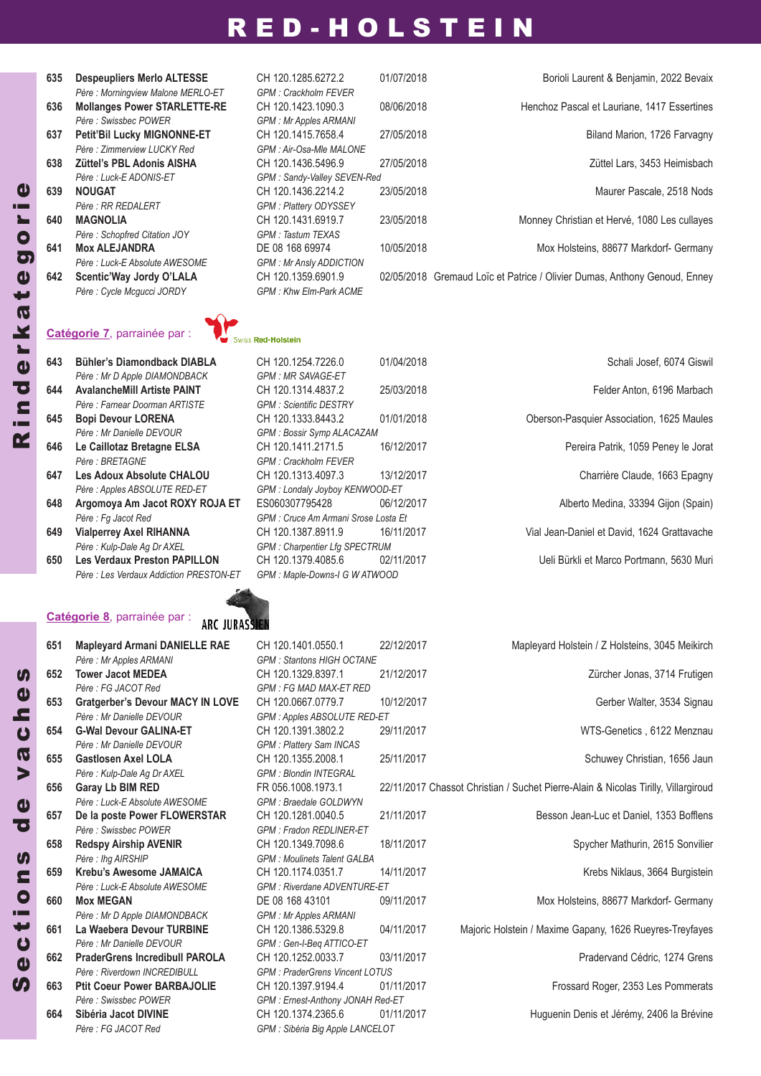| 635 | <b>Despeupliers Merlo ALTESSE</b>   | CH 120.1285.6272.2             | 01/07/2018 | Borioli Laurent & Benjamin, 2022 Bevaix                                   |
|-----|-------------------------------------|--------------------------------|------------|---------------------------------------------------------------------------|
|     | Père : Morningview Malone MERLO-ET  | <b>GPM: Crackholm FEVER</b>    |            |                                                                           |
| 636 | <b>Mollanges Power STARLETTE-RE</b> | CH 120.1423.1090.3             | 08/06/2018 | Henchoz Pascal et Lauriane, 1417 Essertines                               |
|     | Père : Swissbec POWER               | <b>GPM: Mr Apples ARMANI</b>   |            |                                                                           |
| 637 | <b>Petit'Bil Lucky MIGNONNE-ET</b>  | CH 120.1415.7658.4             | 27/05/2018 | Biland Marion, 1726 Farvagny                                              |
|     | Père : Zimmerview LUCKY Red         | GPM : Air-Osa-Mle MALONE       |            |                                                                           |
| 638 | Züttel's PBL Adonis AISHA           | CH 120.1436.5496.9             | 27/05/2018 | Züttel Lars, 3453 Heimisbach                                              |
|     | Père : Luck-E ADONIS-ET             | GPM: Sandy-Valley SEVEN-Red    |            |                                                                           |
| 639 | <b>NOUGAT</b>                       | CH 120.1436.2214.2             | 23/05/2018 | Maurer Pascale, 2518 Nods                                                 |
|     | Père : RR REDALERT                  | <b>GPM: Plattery ODYSSEY</b>   |            |                                                                           |
| 640 | <b>MAGNOLIA</b>                     | CH 120.1431.6919.7             | 23/05/2018 | Monney Christian et Hervé, 1080 Les cullayes                              |
|     | Père: Schopfred Citation JOY        | GPM : Tastum TEXAS             |            |                                                                           |
| 641 | <b>Mox ALEJANDRA</b>                | DE 08 168 69974                | 10/05/2018 | Mox Holsteins, 88677 Markdorf- Germany                                    |
|     | Père : Luck-E Absolute AWESOME      | <b>GPM: Mr Ansly ADDICTION</b> |            |                                                                           |
| 642 | Scentic'Way Jordy O'LALA            | CH 120.1359.6901.9             |            | 02/05/2018 Gremaud Loïc et Patrice / Olivier Dumas, Anthony Genoud, Enney |
|     | Père : Cycle Mcqucci JORDY          | <b>GPM: Khw Elm-Park ACME</b>  |            |                                                                           |

### **Catégorie 7**, parrainée par :

| 643 | Bühler's Diamondback DIABLA         |
|-----|-------------------------------------|
|     | Père : Mr D Apple DIAMONDBACK       |
| 644 | <b>AvalancheMill Artiste PAINT</b>  |
|     | Père: Farnear Doorman ARTISTE       |
| 645 | <b>Bopi Devour LORENA</b>           |
|     | Père : Mr Danielle DEVOUR           |
| 646 | Le Caillotaz Bretagne ELSA          |
|     | Père : BRETAGNE                     |
| 647 | Les Adoux Absolute CHALOU           |
|     | Père : Apples ABSOLUTE RED-ET       |
| 648 | Argomoya Am Jacot ROXY ROJ          |
|     | Père : Fq Jacot Red                 |
| 649 | <b>Vialperrey Axel RIHANNA</b>      |
|     | Père : Kulp-Dale Ag Dr AXEL         |
| 650 | <b>Les Verdaux Preston PAPILLON</b> |
|     |                                     |

### **Catégorie 8**, parrainée par :



| 651 | <b>Mapleyard Armani DANIELLE RAE</b>    | CH 120.1401.0550.1                    | 22/12/2017 | Mapleyard Holstein / Z Holsteins, 3045 Meikirch                                    |
|-----|-----------------------------------------|---------------------------------------|------------|------------------------------------------------------------------------------------|
|     | Père : Mr Apples ARMANI                 | <b>GPM: Stantons HIGH OCTANE</b>      |            |                                                                                    |
| 652 | <b>Tower Jacot MEDEA</b>                | CH 120.1329.8397.1                    | 21/12/2017 | Zürcher Jonas, 3714 Frutigen                                                       |
|     | Père : FG JACOT Red                     | <b>GPM: FG MAD MAX-ET RED</b>         |            |                                                                                    |
| 653 | <b>Gratgerber's Devour MACY IN LOVE</b> | CH 120.0667.0779.7                    | 10/12/2017 | Gerber Walter, 3534 Signau                                                         |
|     | Père : Mr Danielle DEVOUR               | GPM: Apples ABSOLUTE RED-ET           |            |                                                                                    |
| 654 | <b>G-Wal Devour GALINA-ET</b>           | CH 120.1391.3802.2                    | 29/11/2017 | WTS-Genetics, 6122 Menznau                                                         |
|     | Père : Mr Danielle DEVOUR               | <b>GPM: Plattery Sam INCAS</b>        |            |                                                                                    |
| 655 | <b>Gastlosen Axel LOLA</b>              | CH 120.1355.2008.1                    | 25/11/2017 | Schuwey Christian, 1656 Jaun                                                       |
|     | Père : Kulp-Dale Aq Dr AXEL             | <b>GPM: Blondin INTEGRAL</b>          |            |                                                                                    |
| 656 | Garay Lb BIM RED                        | FR 056.1008.1973.1                    |            | 22/11/2017 Chassot Christian / Suchet Pierre-Alain & Nicolas Tirilly, Villargiroud |
|     | Père : Luck-E Absolute AWESOME          | GPM : Braedale GOLDWYN                |            |                                                                                    |
| 657 | De la poste Power FLOWERSTAR            | CH 120.1281.0040.5                    | 21/11/2017 | Besson Jean-Luc et Daniel, 1353 Bofflens                                           |
|     | Père : Swissbec POWER                   | <b>GPM: Fradon REDLINER-ET</b>        |            |                                                                                    |
| 658 | <b>Redspy Airship AVENIR</b>            | CH 120.1349.7098.6                    | 18/11/2017 | Spycher Mathurin, 2615 Sonvilier                                                   |
|     | Père : lhg AIRSHIP                      | <b>GPM: Moulinets Talent GALBA</b>    |            |                                                                                    |
| 659 | Krebu's Awesome JAMAICA                 | CH 120.1174.0351.7                    | 14/11/2017 | Krebs Niklaus, 3664 Burgistein                                                     |
|     | Père : Luck-E Absolute AWESOME          | <b>GPM: Riverdane ADVENTURE-ET</b>    |            |                                                                                    |
| 660 | <b>Mox MEGAN</b>                        | DE 08 168 43101                       | 09/11/2017 | Mox Holsteins, 88677 Markdorf- Germany                                             |
|     | Père : Mr D Apple DIAMONDBACK           | GPM: Mr Apples ARMANI                 |            |                                                                                    |
| 661 | La Waebera Devour TURBINE               | CH 120.1386.5329.8                    | 04/11/2017 | Majoric Holstein / Maxime Gapany, 1626 Rueyres-Treyfayes                           |
|     | Père : Mr Danielle DEVOUR               | GPM: Gen-I-Beg ATTICO-ET              |            |                                                                                    |
| 662 | <b>PraderGrens Incredibull PAROLA</b>   | CH 120.1252.0033.7                    | 03/11/2017 | Pradervand Cédric, 1274 Grens                                                      |
|     | Père : Riverdown INCREDIBULL            | <b>GPM: PraderGrens Vincent LOTUS</b> |            |                                                                                    |
| 663 | <b>Ptit Coeur Power BARBAJOLIE</b>      | CH 120.1397.9194.4                    | 01/11/2017 | Frossard Roger, 2353 Les Pommerats                                                 |
|     | Père : Swissbec POWER                   | GPM: Ernest-Anthony JONAH Red-ET      |            |                                                                                    |
| 664 | Sibéria Jacot DIVINE                    | CH 120.1374.2365.6                    | 01/11/2017 | Huguenin Denis et Jérémy, 2406 la Brévine                                          |

*Père : FG JACOT Red GPM : Sibéria Big Apple LANCELOT*

| Zürcher Jonas, 3714 Frutigen                                            |
|-------------------------------------------------------------------------|
| Gerber Walter, 3534 Signau                                              |
| WTS-Genetics, 6122 Menznau                                              |
| Schuwey Christian, 1656 Jaun                                            |
| Chassot Christian / Suchet Pierre-Alain & Nicolas Tirilly, Villargiroud |
| Besson Jean-Luc et Daniel, 1353 Bofflens                                |
| Spycher Mathurin, 2615 Sonvilier                                        |
| Krebs Niklaus, 3664 Burgistein                                          |
| Mox Holsteins, 88677 Markdorf- Germany                                  |
| Majoric Holstein / Maxime Gapany, 1626 Rueyres-Treyfayes                |
| Pradervand Cédric, 1274 Grens                                           |
| Frossard Roger, 2353 Les Pommerats                                      |
| Huguenin Denis et Jérémy, 2406 la Brévine                               |

# ss Red-Holstein

**643 Bühler's diamondback dIABLA** CH 120.1254.7226.0 01/04/2018 Schali Josef, 6074 Giswil *Père : Mr D Apple DIAMONDBACK GPM : MR SAVAGE-ET Père : Farnear Doorman ARTISTE GPM : Scientific DESTRY Père : Mr Danielle DEVOUR GPM : Bossir Symp ALACAZAM Père : BRETAGNE GPM : Crackholm FEVER Père : Apples ABSOLUTE RED-ET GPM : Londaly Joyboy KENWOOD-ET Père : Fg Jacot Red GPM : Cruce Am Armani Srose Losta Et*  $GPM$  *: Charpentier Lfg SPECTRUM* **650 Les Verdaux Preston PAPILLON** CH 120.1379.4085.6 02/11/2017 Ueli Bürkli et Marco Portmann, 5630 Muri *Père : Les Verdaux Addiction PRESTON-ET GPM : Maple-Downs-I G W ATWOOD*

 **AvalancheMill Artiste PAINT** CH 120.1314.4837.2 25/03/2018 Felder Anton, 6196 Marbach **Bopi devour LORENA** CH 120.1333.8443.2 01/01/2018 Oberson-Pasquier Association, 1625 Maules **Le Caillotaz Bretagne ELSA** CH 120.1411.2171.5 16/12/2017 Pereira Patrik, 1059 Peney le Jorat **647112/2017 Charrière Claude, 1663 Epagny Argomoya Am Jacot ROXY ROJA ET** ES060307795428 06/12/2017 Alberto Medina, 33394 Gijon (Spain) **Vialperrey Axel RIHANNA** CH 120.1387.8911.9 16/11/2017 Vial Jean-Daniel et David, 1624 Grattavache

R i n d

 $\boldsymbol{\Phi}$ r k a t  $\boldsymbol{\Phi}$ g o

r i e

 $\boldsymbol{\eta}$  $\boldsymbol{\Phi}$  $\boldsymbol{\mathsf{Q}}$ t i o n  $\boldsymbol{\eta}$ d  $\boldsymbol{\Phi}$ v a  $\boldsymbol{\mathsf{U}}$ h  $\boldsymbol{\Phi}$ **S**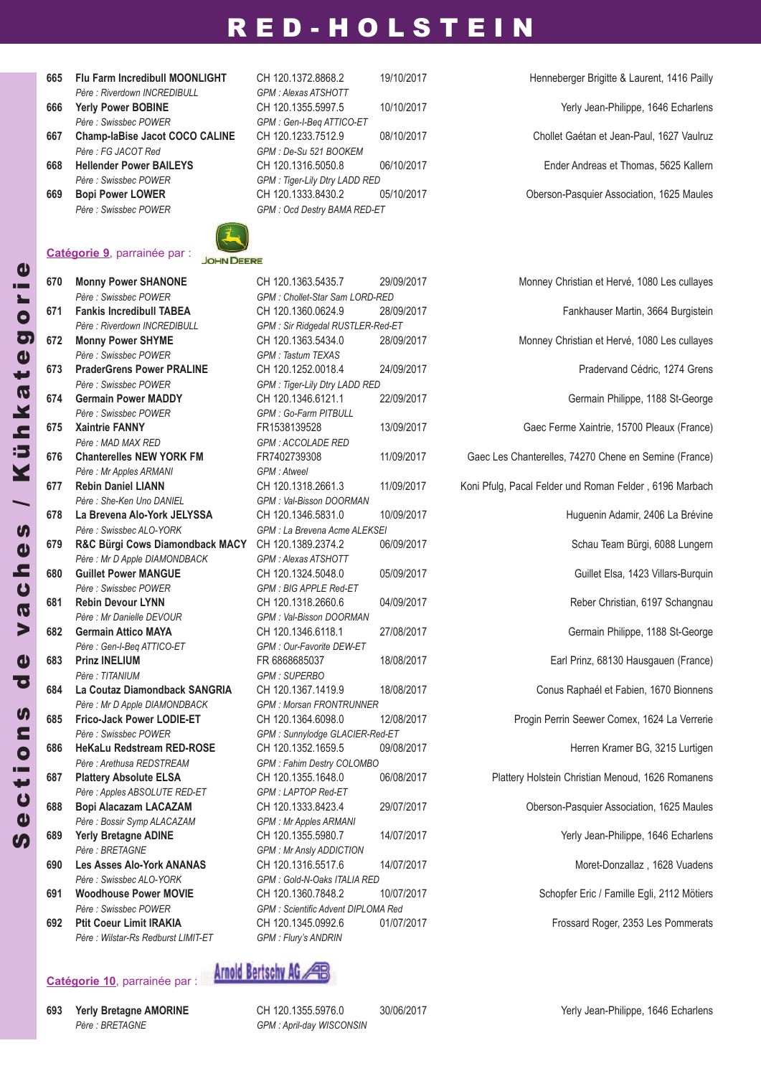- **665 Flu Farm Incredibull MOONLIGHT** CH 120.1372.8868.2 19/10/2017 Henneberger Brigitte & Laurent, 1416 Pailly *Père : Riverdown INCREDIBULL GPM : Alexas ATSHOTT*
- 
- **667 Champ-laBise Jacot COCO CALINE** CH 120.1233.7512.9 08/10/2017 Chollet Gaétan et Jean-Paul, 1627 Vaulruz
- 
- 



### **Catégorie 9**, parrainée par :

*Père : Swissbec POWER GPM : Chollet-Star Sam LORD-RED Père : Riverdown INCREDIBULL GPM : Sir Ridgedal RUSTLER-Red-ET Père : Swissbec POWER GPM : Tastum TEXAS Père : Swissbec POWER GPM : Tiger-Lily Dtry LADD RED Père : Swissbec POWER GPM : Go-Farm PITBULL Père : MAD MAX RED GPM : ACCOLADE RED Père : Mr Apples ARMANI GPM : Atweel Père : She-Ken Uno DANIEL GPM : Val-Bisson DOORMAN Père : Swissbec ALO-YORK GPM : La Brevena Acme ALEKSEI Père : Mr D Apple DIAMONDBACK GPM : Alexas ATSHOTT Père : Swissbec POWER GPM : BIG APPLE Red-ET Père : Mr Danielle DEVOUR GPM : Val-Bisson DOORMAN Père : Gen-I-Beq ATTICO-ET GPM : Our-Favorite DEW-ET Père : TITANIUM GPM : SUPERBO Père : Mr D Apple DIAMONDBACK GPM : Morsan FRONTRUNNER Père : Swissbec POWER GPM : Sunnylodge GLACIER-Red-ET Père : Arethusa REDSTREAM GPM : Fahim Destry COLOMBO Père : Apples ABSOLUTE RED-ET GPM : LAPTOP Red-ET Père : Bossir Symp ALACAZAM GPM : Mr Apples ARMANI Père : BRETAGNE GPM : Mr Ansly ADDICTION Père : Swissbec ALO-YORK GPM : Gold-N-Oaks ITALIA RED Père : Swissbec POWER GPM : Scientific Advent DIPLOMA Red Père : Wilstar-Rs Redburst LIMIT-ET GPM : Flury's ANDRIN*

### **Catégorie 10**, parrainée par :

**693 Yerly Bretagne AMORINE** CH 120.1355.5976.0 30/06/2017 Yerly Jean-Philippe, 1646 Echarlens *Père : BRETAGNE GPM : April-day WISCONSIN*

*Père : Swissbec POWER GPM : Gen-I-Beq ATTICO-ET Père : FG JACOT Red GPM : De-Su 521 BOOKEM Père : Swissbec POWER GPM : Tiger-Lily Dtry LADD RED* **669 Bopi Power LOWER** CH 120.1333.8430.2 05/10/2017 Oberson-Pasquier Association, 1625 Maules *Père : Swissbec POWER GPM : Ocd Destry BAMA RED-ET*

**666 Yerly Power BOBINE** CH 120.1355.5997.5 10/10/2017 Yerly Jean-Philippe, 1646 Echarlens **668 Hellender Power BAILEYS** CH 120.1316.5050.8 06/10/2017 Ender Andreas et Thomas, 5625 Kallern

 **Monny Power SHANONE** CH 120.1363.5435.7 29/09/2017 Monney Christian et Hervé, 1080 Les cullayes **Fankis Incredibull TABEA** CH 120.1360.0624.9 28/09/2017 Fankhauser Martin, 3664 Burgistein **Monny Power SHYME** CH 120.1363.5434.0 28/09/2017 Monney Christian et Hervé, 1080 Les cullayes **PraderGrens Power PRALINE** CH 120.1252.0018.4 24/09/2017 Pradervand Cédric, 1274 Grens **Germain Power MAddY** CH 120.1346.6121.1 22/09/2017 Germain Philippe, 1188 St-George **Xaintrie FANNY** FR1538139528 13/09/2017 Gaec Ferme Xaintrie, 15700 Pleaux (France) **Chanterelles NEW YORK FM** FR7402739308 11/09/2017 Gaec Les Chanterelles, 74270 Chene en Semine (France) **Rebin daniel LIANN** CH 120.1318.2661.3 11/09/2017 Koni Pfulg, Pacal Felder und Roman Felder , 6196 Marbach **La Brevena Alo-York JELYSSA** CH 120.1346.5831.0 10/09/2017 Huguenin Adamir, 2406 La Brévine **R&C Bürgi Cows diamondback MACY** CH 120.1389.2374.2 06/09/2017 Schau Team Bürgi, 6088 Lungern **Guillet Power MANGUE** CH 120.1324.5048.0 05/09/2017 Guillet Elsa, 1423 Villars-Burquin **Rebin devour LYNN** CH 120.1318.2660.6 04/09/2017 Reber Christian, 6197 Schangnau **Germain Attico MAYA** CH 120.1346.6118.1 27/08/2017 Germain Philippe, 1188 St-George **Prinz INELIUM** FR 6868685037 18/08/2017 Earl Prinz, 68130 Hausgauen (France) **La Coutaz diamondback SANGRIA** CH 120.1367.1419.9 18/08/2017 Conus Raphaél et Fabien, 1670 Bionnens **Frico-Jack Power LOdIE-ET** CH 120.1364.6098.0 12/08/2017 Progin Perrin Seewer Comex, 1624 La Verrerie **HeKaLu Redstream REd-ROSE** CH 120.1352.1659.5 09/08/2017 Herren Kramer BG, 3215 Lurtigen **Plattery Absolute ELSA** CH 120.1355.1648.0 06/08/2017 Plattery Holstein Christian Menoud, 1626 Romanens **Bopi Alacazam LACAZAM** CH 120.1333.8423.4 29/07/2017 Oberson-Pasquier Association, 1625 Maules **689 Yerly Bretagne ADINE** CH 120.1355.5980.7 14/07/2017 Yerly Jean-Philippe, 1646 Echarlens **Les Asses Alo-York ANANAS** CH 120.1316.5517.6 14/07/2017 Moret-Donzallaz , 1628 Vuadens **Woodhouse Power MOVIE** CH 120.1360.7848.2 10/07/2017 Schopfer Eric / Famille Egli, 2112 Mötiers **Ptit Coeur Limit IRAKIA** CH 120.1345.0992.6 01/07/2017 Frossard Roger, 2353 Les Pommerats



Arnold Bertschy AG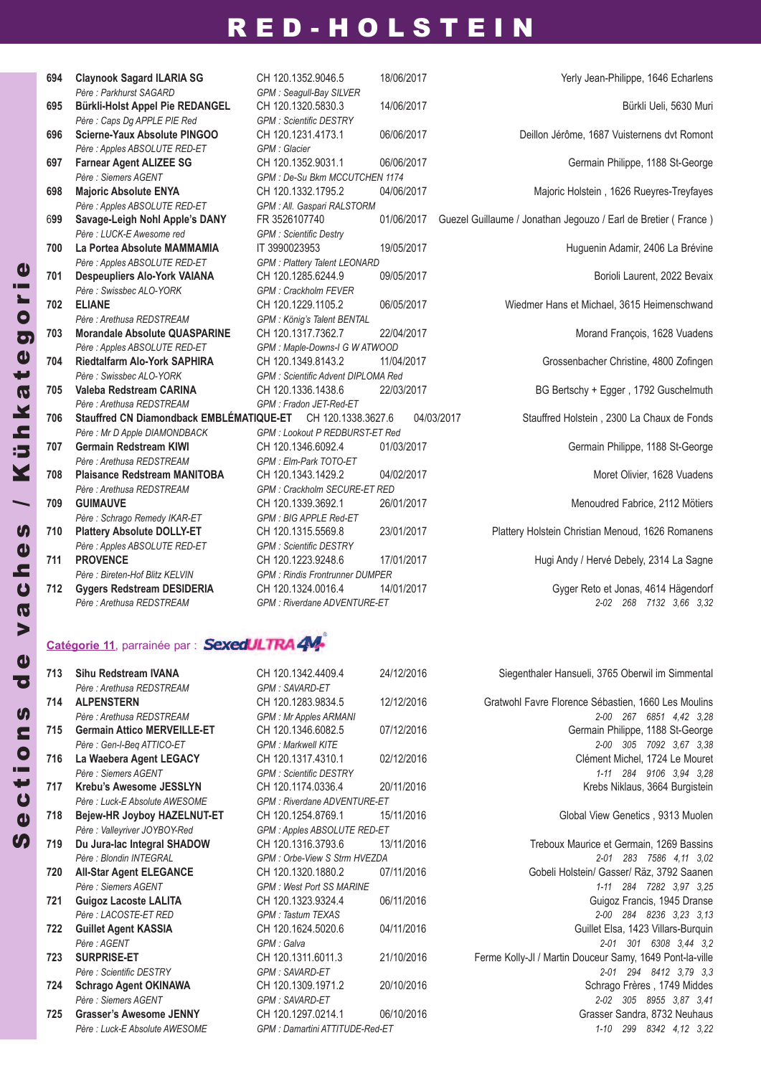| 694 | <b>Claynook Sagard ILARIA SG</b>                            | CH 120.1352.9046.5                             | 18/06/2017 | Yerly Jean-Philippe, 1646 Echarlens                            |
|-----|-------------------------------------------------------------|------------------------------------------------|------------|----------------------------------------------------------------|
| 695 | Père : Parkhurst SAGARD<br>Bürkli-Holst Appel Pie REDANGEL  | GPM : Seagull-Bay SILVER<br>CH 120.1320.5830.3 | 14/06/2017 | Bürkli Ueli, 5630 Muri                                         |
|     | Père : Caps Dg APPLE PIE Red                                | <b>GPM: Scientific DESTRY</b>                  |            |                                                                |
| 696 | Scierne-Yaux Absolute PINGOO                                | CH 120.1231.4173.1                             | 06/06/2017 | Deillon Jérôme, 1687 Vuisternens dvt Romont                    |
|     | Père : Apples ABSOLUTE RED-ET                               | GPM : Glacier                                  |            |                                                                |
| 697 | <b>Farnear Agent ALIZEE SG</b>                              | CH 120.1352.9031.1                             | 06/06/2017 | Germain Philippe, 1188 St-George                               |
|     | Père : Siemers AGENT                                        | GPM : De-Su Bkm MCCUTCHEN 1174                 |            |                                                                |
| 698 | <b>Majoric Absolute ENYA</b>                                | CH 120.1332.1795.2                             | 04/06/2017 | Majoric Holstein, 1626 Rueyres-Treyfayes                       |
|     | Père : Apples ABSOLUTE RED-ET                               | GPM : All. Gaspari RALSTORM                    |            |                                                                |
| 699 | Savage-Leigh Nohl Apple's DANY                              | FR 3526107740                                  | 01/06/2017 | Guezel Guillaume / Jonathan Jegouzo / Earl de Bretier (France) |
|     | Père : LUCK-E Awesome red                                   | <b>GPM</b> : Scientific Destry                 |            |                                                                |
| 700 | La Portea Absolute MAMMAMIA                                 | IT 3990023953                                  | 19/05/2017 | Huguenin Adamir, 2406 La Brévine                               |
|     | Père : Apples ABSOLUTE RED-ET                               | <b>GPM: Plattery Talent LEONARD</b>            |            |                                                                |
| 701 | <b>Despeupliers Alo-York VAIANA</b>                         | CH 120.1285.6244.9                             | 09/05/2017 | Borioli Laurent, 2022 Bevaix                                   |
|     | Père : Swissbec ALO-YORK                                    | <b>GPM: Crackholm FEVER</b>                    |            |                                                                |
| 702 | <b>ELIANE</b>                                               | CH 120.1229.1105.2                             | 06/05/2017 | Wiedmer Hans et Michael, 3615 Heimenschwand                    |
|     | Père : Arethusa REDSTREAM                                   | GPM : König's Talent BENTAL                    |            |                                                                |
| 703 | <b>Morandale Absolute QUASPARINE</b>                        | CH 120.1317.7362.7                             | 22/04/2017 | Morand François, 1628 Vuadens                                  |
|     | Père : Apples ABSOLUTE RED-ET                               | GPM : Maple-Downs-I G W ATWOOD                 |            |                                                                |
| 704 | <b>Riedtalfarm Alo-York SAPHIRA</b>                         | CH 120.1349.8143.2                             | 11/04/2017 | Grossenbacher Christine, 4800 Zofingen                         |
|     | Père : Swissbec ALO-YORK                                    | <b>GPM: Scientific Advent DIPLOMA Red</b>      |            |                                                                |
| 705 | Valeba Redstream CARINA                                     | CH 120.1336.1438.6                             | 22/03/2017 | BG Bertschy + Egger, 1792 Guschelmuth                          |
|     | Père : Arethusa REDSTREAM                                   | GPM : Fradon JET-Red-ET                        |            |                                                                |
| 706 | Stauffred CN Diamondback EMBLÉMATIQUE-ET CH 120.1338.3627.6 |                                                |            | 04/03/2017<br>Stauffred Holstein, 2300 La Chaux de Fonds       |
|     | Père : Mr D Apple DIAMONDBACK                               | GPM : Lookout P REDBURST-ET Red                |            |                                                                |
| 707 | <b>Germain Redstream KIWI</b>                               | CH 120.1346.6092.4                             | 01/03/2017 | Germain Philippe, 1188 St-George                               |
|     | Père : Arethusa REDSTREAM                                   | GPM: Elm-Park TOTO-ET                          |            |                                                                |
| 708 | <b>Plaisance Redstream MANITOBA</b>                         | CH 120.1343.1429.2                             | 04/02/2017 | Moret Olivier, 1628 Vuadens                                    |
|     | Père : Arethusa REDSTREAM                                   | <b>GPM: Crackholm SECURE-ET RED</b>            |            |                                                                |
| 709 | <b>GUIMAUVE</b>                                             | CH 120.1339.3692.1                             | 26/01/2017 | Menoudred Fabrice, 2112 Mötiers                                |
|     | Père : Schrago Remedy IKAR-ET                               | GPM : BIG APPLE Red-ET                         |            |                                                                |
| 710 | <b>Plattery Absolute DOLLY-ET</b>                           | CH 120.1315.5569.8                             | 23/01/2017 | Plattery Holstein Christian Menoud, 1626 Romanens              |
|     | Père : Apples ABSOLUTE RED-ET                               | <b>GPM: Scientific DESTRY</b>                  |            |                                                                |
| 711 | <b>PROVENCE</b>                                             | CH 120.1223.9248.6                             | 17/01/2017 | Hugi Andy / Hervé Debely, 2314 La Sagne                        |
|     | Père : Bireten-Hof Blitz KELVIN                             | <b>GPM: Rindis Frontrunner DUMPER</b>          |            |                                                                |
| 712 | <b>Gygers Redstream DESIDERIA</b>                           | CH 120.1324.0016.4                             | 14/01/2017 | Gyger Reto et Jonas, 4614 Hägendorf                            |
|     | Père : Arethusa REDSTREAM                                   | <b>GPM</b> · Riverdane ADVENTURE-FT            |            | 2-02 268 7132 3.66 3.32                                        |

**712 Gygers Redstream dESIdERIA** CH 120.1324.0016.4 14/01/2017 Gyger Reto et Jonas, 4614 Hägendorf *Père : Arethusa REDSTREAM GPM : Riverdane ADVENTURE-ET 2-02 268 7132 3,66 3,32*

### Catégorie 11, parrainée par : **SexedULTRA4**

| 713 | Sihu Redstream IVANA               | CH 120.1342.4409.4                 | 24/12/2016 |
|-----|------------------------------------|------------------------------------|------------|
|     | Père : Arethusa REDSTREAM          | <b>GPM: SAVARD-ET</b>              |            |
| 714 | <b>ALPENSTERN</b>                  | CH 120.1283.9834.5                 | 12/12/2016 |
|     | Père : Arethusa REDSTREAM          | GPM : Mr Apples ARMANI             |            |
| 715 | <b>Germain Attico MERVEILLE-ET</b> | CH 120.1346.6082.5                 | 07/12/2016 |
|     | Père : Gen-I-Beg ATTICO-ET         | <b>GPM · Markwell KITF</b>         |            |
| 716 | La Waebera Agent LEGACY            | CH 120.1317.4310.1                 | 02/12/2016 |
|     | Père · Siemers AGENT               | <b>GPM: Scientific DESTRY</b>      |            |
| 717 | Krebu's Awesome JESSLYN            | CH 120.1174.0336.4                 | 20/11/2016 |
|     | Père : Luck-E Absolute AWESOME     | <b>GPM: Riverdane ADVENTURE-ET</b> |            |
| 718 | Bejew-HR Joyboy HAZELNUT-ET        | CH 120.1254.8769.1                 | 15/11/2016 |
|     | Père : Valleyriver JOYBOY-Red      | GPM: Apples ABSOLUTE RED-ET        |            |
| 719 | Du Jura-lac Integral SHADOW        | CH 120.1316.3793.6                 | 13/11/2016 |
|     | Père : Blondin INTEGRAL            | GPM: Orbe-View S Strm HVEZDA       |            |
| 720 | <b>All-Star Agent ELEGANCE</b>     | CH 120.1320.1880.2                 | 07/11/2016 |
|     | Père · Siemers AGENT               | <b>GPM: West Port SS MARINE</b>    |            |
| 721 | <b>Guigoz Lacoste LALITA</b>       | CH 120.1323.9324.4                 | 06/11/2016 |
|     | Père : LACOSTE-ET RED              | <b>GPM: Tastum TEXAS</b>           |            |
| 722 | <b>Guillet Agent KASSIA</b>        | CH 120.1624.5020.6                 | 04/11/2016 |
|     | Père AGFNT                         | $GPM \cdot Galva$                  |            |
| 723 | <b>SURPRISE-ET</b>                 | CH 120.1311.6011.3                 | 21/10/2016 |
|     | Père : Scientific DESTRY           | <b>GPM: SAVARD-ET</b>              |            |
| 724 | <b>Schrago Agent OKINAWA</b>       | CH 120.1309.1971.2                 | 20/10/2016 |
|     | Père · Siemers AGENT               | <b>GPM: SAVARD-ET</b>              |            |
| 725 | <b>Grasser's Awesome JENNY</b>     | CH 120.1297.0214.1                 | 06/10/2016 |
|     | Père : Luck-F Absolute AWFSOMF     | GPM: Damartini ATTITUDE-Red-ET     |            |
|     |                                    |                                    |            |

**Siegenthaler Hansueli, 3765 Oberwil im Simmental** 

**Gratwohl Favre Florence Sébastien, 1660 Les Moulins** *Père : Arethusa REDSTREAM GPM : Mr Apples ARMANI 2-00 267 6851 4,42 3,28* **715 Germain Attico MERVEILLE-ET** CH 120.1346.6082.5 07/12/2016 Germain Philippe, 1188 St-George *Père : Gen-I-Beq ATTICO-ET GPM : Markwell KITE 2-00 305 7092 3,67 3,38* **716 La Waebera Agent LEGACY** CH 120.1317.4310.1 02/12/2016 Clément Michel, 1724 Le Mouret *Père : Siemers AGENT GPM : Scientific DESTRY 1-11 284 9106 3,94 3,28* **Krebs Niklaus, 3664 Burgistein** 

**Global View Genetics , 9313 Muolen** 

**Treboux Maurice et Germain, 1269 Bassins** *Père : Blondin INTEGRAL GPM : Orbe-View S Strm HVEZDA 2-01 283 7586 4,11 3,02* **Gobeli Holstein/ Gasser/ Räz, 3792 Saanen** *Père : Siemers AGENT GPM : West Port SS MARINE 1-11 284 7282 3,97 3,25* **Guigoz Francis, 1945 Dranse** *Père : LACOSTE-ET RED GPM : Tastum TEXAS 2-00 284 8236 3,23 3,13* **Guillet Elsa, 1423 Villars-Burquin** *Père : AGENT GPM : Galva 2-01 301 6308 3,44 3,2* Ferme Kolly-Jl / Martin Douceur Samy, 1649 Pont-la-ville *Père : Scientific DESTRY GPM : SAVARD-ET 2-01 294 8412 3,79 3,3* **Schrago Frères**, 1749 Middes *Père : Siemers AGENT GPM : SAVARD-ET 2-02 305 8955 3,87 3,41* **Grasser Sandra, 8732 Neuhaus** *Père : Luck-E Absolute AWESOME GPM : Damartini ATTITUDE-Red-ET 1-10 299 8342 4,12 3,22*

 $\boldsymbol{\eta}$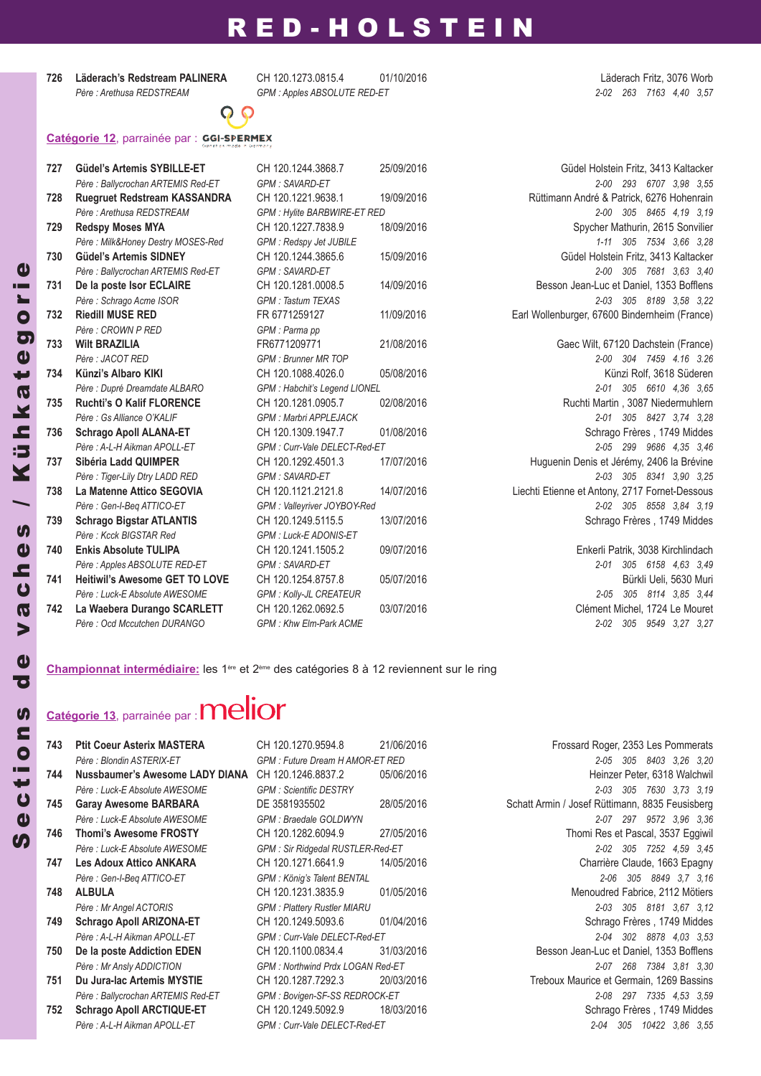**726 Läderach's Redstream PALINERA** CH 120.1273.0815.4 01/10/2016 Läderach Fritz, 3076 Worb

*Père : Arethusa REDSTREAM GPM : Apples ABSOLUTE RED-ET 2-02 263 7163 4,40 3,57*



### **Catégorie 12**, parrainée par :

| 727 | <b>Güdel's Artemis SYBILLE-ET</b>     | CH 120.1244.3868.7                 | 25/09/2016 | Güdel Holstein Fritz, 3413 Kaltacker           |
|-----|---------------------------------------|------------------------------------|------------|------------------------------------------------|
|     | Père : Ballycrochan ARTEMIS Red-ET    | <b>GPM: SAVARD-ET</b>              |            | 2-00 293 6707 3,98 3,55                        |
| 728 | <b>Ruegruet Redstream KASSANDRA</b>   | CH 120.1221.9638.1                 | 19/09/2016 | Rüttimann André & Patrick, 6276 Hohenrain      |
|     | Père : Arethusa REDSTREAM             | <b>GPM: Hylite BARBWIRE-ET RED</b> |            | 2-00 305 8465 4.19 3.19                        |
| 729 | <b>Redspy Moses MYA</b>               | CH 120.1227.7838.9                 | 18/09/2016 | Spycher Mathurin, 2615 Sonvilier               |
|     | Père: Milk&Honey Destry MOSES-Red     | <b>GPM: Redspy Jet JUBILE</b>      |            | 1-11 305 7534 3,66 3,28                        |
| 730 | <b>Güdel's Artemis SIDNEY</b>         | CH 120.1244.3865.6                 | 15/09/2016 | Güdel Holstein Fritz, 3413 Kaltacker           |
|     | Père : Ballycrochan ARTEMIS Red-ET    | <b>GPM: SAVARD-ET</b>              |            | 2-00 305 7681 3.63 3.40                        |
| 731 | De la poste Isor ECLAIRE              | CH 120.1281.0008.5                 | 14/09/2016 | Besson Jean-Luc et Daniel, 1353 Bofflens       |
|     | Père : Schrago Acme ISOR              | <b>GPM: Tastum TEXAS</b>           |            | 2-03 305 8189 3.58 3.22                        |
| 732 | <b>Riedill MUSE RED</b>               | FR 6771259127                      | 11/09/2016 | Earl Wollenburger, 67600 Bindernheim (France)  |
|     | Père : CROWN P RED                    | GPM : Parma pp                     |            |                                                |
| 733 | <b>Wilt BRAZILIA</b>                  | FR6771209771                       | 21/08/2016 | Gaec Wilt, 67120 Dachstein (France)            |
|     | Père : JACOT RED                      | <b>GPM</b> : Brunner MR TOP        |            | 2-00 304 7459 4.16 3.26                        |
| 734 | Künzi's Albaro KIKI                   | CH 120.1088.4026.0                 | 05/08/2016 | Künzi Rolf, 3618 Süderen                       |
|     | Père : Dupré Dreamdate ALBARO         | GPM : Habchit's Legend LIONEL      |            | 305 6610 4.36 3.65<br>$2 - 01$                 |
| 735 | <b>Ruchti's O Kalif FLORENCE</b>      | CH 120.1281.0905.7                 | 02/08/2016 | Ruchti Martin, 3087 Niedermuhlern              |
|     | Père : Gs Alliance O'KALIF            | <b>GPM: Marbri APPLEJACK</b>       |            | 2-01 305 8427 3.74 3.28                        |
| 736 | <b>Schrago Apoll ALANA-ET</b>         | CH 120.1309.1947.7                 | 01/08/2016 | Schrago Frères, 1749 Middes                    |
|     | Père: A-L-H Aikman APOLL-ET           | GPM : Curr-Vale DELECT-Red-ET      |            | 2-05 299 9686 4.35 3.46                        |
| 737 | Sibéria Ladd QUIMPER                  | CH 120.1292.4501.3                 | 17/07/2016 | Huguenin Denis et Jérémy, 2406 la Brévine      |
|     | Père : Tiger-Lily Dtry LADD RED       | <b>GPM: SAVARD-ET</b>              |            | 2-03 305 8341 3.90 3.25                        |
| 738 | La Matenne Attico SEGOVIA             | CH 120.1121.2121.8                 | 14/07/2016 | Liechti Etienne et Antony, 2717 Fornet-Dessous |
|     | Père : Gen-I-Beq ATTICO-ET            | GPM: Valleyriver JOYBOY-Red        |            | 2-02 305 8558 3.84 3.19                        |
| 739 | <b>Schrago Bigstar ATLANTIS</b>       | CH 120.1249.5115.5                 | 13/07/2016 | Schrago Frères, 1749 Middes                    |
|     | Père : Kcck BIGSTAR Red               | GPM : Luck-E ADONIS-ET             |            |                                                |
| 740 | <b>Enkis Absolute TULIPA</b>          | CH 120.1241.1505.2                 | 09/07/2016 | Enkerli Patrik, 3038 Kirchlindach              |
|     | Père : Apples ABSOLUTE RED-ET         | <b>GPM: SAVARD-ET</b>              |            | 2-01 305 6158 4,63 3,49                        |
| 741 | <b>Heitiwil's Awesome GET TO LOVE</b> | CH 120.1254.8757.8                 | 05/07/2016 | Bürkli Ueli, 5630 Muri                         |
|     | Père : Luck-E Absolute AWESOME        | GPM : Kolly-JL CREATEUR            |            | 305 8114 3.85 3.44<br>$2 - 0.5$                |
| 742 | La Waebera Durango SCARLETT           | CH 120.1262.0692.5                 | 03/07/2016 | Clément Michel, 1724 Le Mouret                 |
|     | Père : Ocd Mccutchen DURANGO          | GPM: Khw Elm-Park ACME             |            | 2-02 305 9549 3.27 3.27                        |

**Championnat intermédiaire:** les 1ère et 2ème des catégories 8 à 12 reviennent sur le ring

# **Catégorie 13**, parrainée par :

| 743 | <b>Ptit Coeur Asterix MASTERA</b>  |
|-----|------------------------------------|
|     | Père : Blondin ASTERIX-ET          |
| 744 | Nussbaumer's Awesome LADY DIANA    |
|     | Père : Luck-E Absolute AWESOME     |
| 745 | <b>Garay Awesome BARBARA</b>       |
|     | Père : Luck-E Absolute AWESOME     |
| 746 | <b>Thomi's Awesome FROSTY</b>      |
|     | Père : Luck-E Absolute AWESOME     |
| 747 | Les Adoux Attico ANKARA            |
|     | Père : Gen-I-Beg ATTICO-ET         |
| 748 | <b>ALBULA</b>                      |
|     | Père : Mr Angel ACTORIS            |
| 749 | <b>Schrago Apoll ARIZONA-ET</b>    |
|     | Père · A-I -H Aikman APOI I -FT    |
| 750 | De la poste Addiction EDEN         |
|     | Père : Mr Ansly ADDICTION          |
| 751 | Du Jura-lac Artemis MYSTIE         |
|     | Père : Ballycrochan ARTEMIS Red-ET |
| ファウ | Cabuaga Anali ADOTIOLIE ET         |

**743 Ptit Coeur Asterix MASTERA** CH 120.1270.9594.8 21/06/2016 Frossard Roger, 2353 Les Pommerats *Père : Blondin ASTERIX-ET GPM : Future Dream H AMOR-ET RED 2-05 305 8403 3,26 3,20* **744 Nussbaumer's Awesome LAdY dIANA** CH 120.1246.8837.2 05/06/2016 Heinzer Peter, 6318 Walchwil *Père : Luck-E Absolute AWESOME GPM : Scientific DESTRY 2-03 305 7630 3,73 3,19* **745 Garay Awesome BARBARA** DE 3581935502 28/05/2016 Schatt Armin / Josef Rüttimann, 8835 Feusisberg *Père : Luck-E Absolute AWESOME GPM : Braedale GOLDWYN 2-07 297 9572 3,96 3,36* **746 Thomi's Awesome FROSTY** CH 120.1282.6094.9 27/05/2016 Thomi Res et Pascal, 3537 Eggiwil *Père : Luck-E Absolute AWESOME GPM : Sir Ridgedal RUSTLER-Red-ET 2-02 305 7252 4,59 3,45* **747 Les Adoux Attico ANKARA** CH 120.1271.6641.9 14/05/2016 Charrière Claude, 1663 Epagny *Père : Gen-I-Beq ATTICO-ET GPM : König's Talent BENTAL 2-06 305 8849 3,7 3,16* **748 ALBULA** CH 120.1231.3835.9 01/05/2016 Menoudred Fabrice, 2112 Mötiers *Père : Mr Angel ACTORIS GPM : Plattery Rustler MIARU 2-03 305 8181 3,67 3,12* **749 Schrago Apoll ARIZONA-ET** CH 120.1249.5093.6 01/04/2016 Schrago Frères , 1749 Middes *Père : A-L-H Aikman APOLL-ET GPM : Curr-Vale DELECT-Red-ET 2-04 302 8878 4,03 3,53* **750 de la poste Addiction EdEN** CH 120.1100.0834.4 31/03/2016 Besson Jean-Luc et Daniel, 1353 Bofflens *Père : Mr Ansly ADDICTION GPM : Northwind Prdx LOGAN Red-ET 2-07 268 7384 3,81 3,30* **751 du Jura-lac Artemis MYSTIE** CH 120.1287.7292.3 20/03/2016 Treboux Maurice et Germain, 1269 Bassins *Père : Ballycrochan ARTEMIS Red-ET GPM : Bovigen-SF-SS REDROCK-ET 2-08 297 7335 4,53 3,59* **743** Schrago Apoll **ARCTIQUE-ET** CH 120.1249.5092.9 18/03/2016 Schrago Frères , 1749 Middes *Père : A-L-H Aikman APOLL-ET GPM : Curr-Vale DELECT-Red-ET 2-04 305 10422 3,86 3,55*

 $\boldsymbol{\eta}$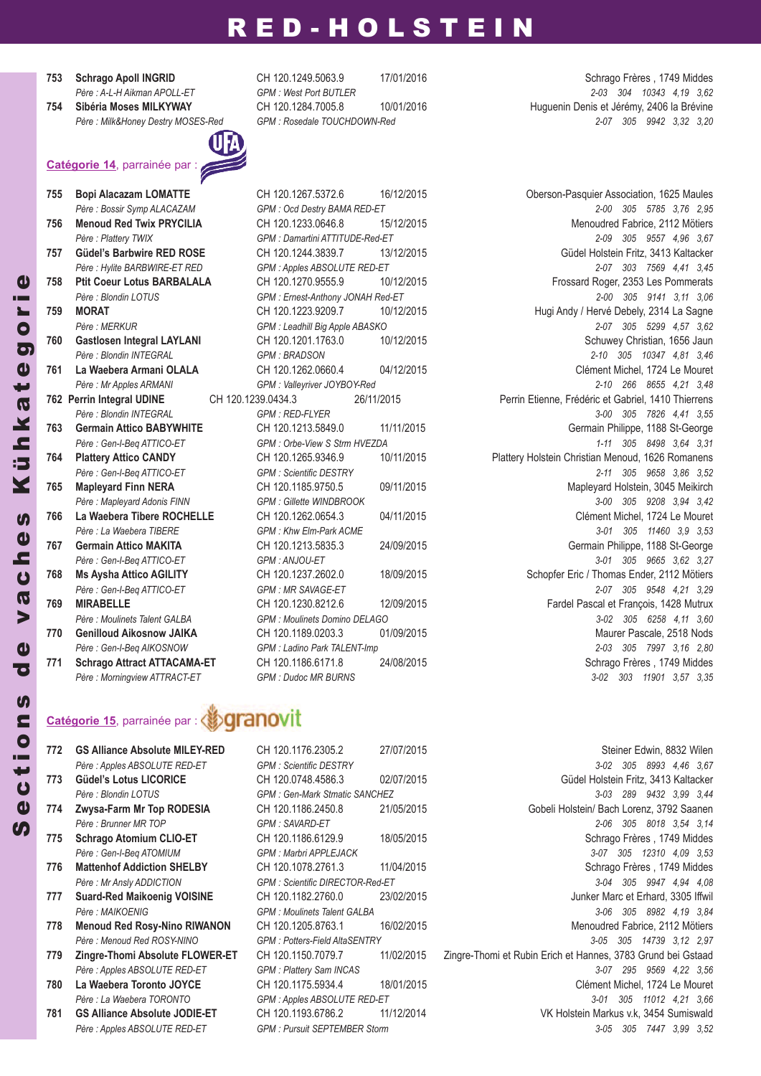- 
- 



**755 Bopi Alacazam LOMATTE** CH 120.1267.5372.6 16/12/2015 Oberson-Pasquier Association, 1625 Maules

### **‱eranovit Catégorie 15**, parrainée par :

- 
- 

**753 Schrago Apoll INGRId** CH 120.1249.5063.9 17/01/2016 Schrago Frères , 1749 Middes *Père : A-L-H Aikman APOLL-ET GPM : West Port BUTLER 2-03 304 10343 4,19 3,62* **754 Sibéria Moses MILKYWAY** CH 120.1284.7005.8 10/01/2016 Huguenin Denis et Jérémy, 2406 la Brévine *Père : Milk&Honey Destry MOSES-Red GPM : Rosedale TOUCHDOWN-Red 2-07 305 9942 3,32 3,20*

*Père : Bossir Symp ALACAZAM GPM : Ocd Destry BAMA RED-ET 2-00 305 5785 3,76 2,95* **756 Menoud Red Twix PRYCILIA** CH 120.1233.0646.8 15/12/2015 Menoudred Fabrice, 2112 Mötiers *Père : Plattery TWIX GPM : Damartini ATTITUDE-Red-ET 2-09 305 9557 4,96 3,67* **757 Güdel's Barbwire REd ROSE** CH 120.1244.3839.7 13/12/2015 Güdel Holstein Fritz, 3413 Kaltacker *Père : Hylite BARBWIRE-ET RED GPM : Apples ABSOLUTE RED-ET 2-07 303 7569 4,41 3,45* **758 Ptit Coeur Lotus BARBALALA** CH 120.1270.9555.9 10/12/2015 Frossard Roger, 2353 Les Pommerats *Père : Blondin LOTUS GPM : Ernest-Anthony JONAH Red-ET 2-00 305 9141 3,11 3,06* **759 MORAT** CH 120.1223.9209.7 10/12/2015 Hugi Andy / Hervé Debely, 2314 La Sagne *Père : MERKUR GPM : Leadhill Big Apple ABASKO 2-07 305 5299 4,57 3,62* **760 Gastlosen Integral LAYLANI** CH 120.1201.1763.0 10/12/2015 Schuwey Christian, 1656 Jaun *Père : Blondin INTEGRAL GPM : BRADSON 2-10 305 10347 4,81 3,46* **761 La Waebera Armani OLALA** CH 120.1262.0660.4 04/12/2015 Clément Michel, 1724 Le Mouret *Père : Mr Apples ARMANI GPM : Valleyriver JOYBOY-Red 2-10 266 8655 4,21 3,48* **762 Perrin Integral UdINE** CH 120.1239.0434.3 26/11/2015 Perrin Etienne, Frédéric et Gabriel, 1410 Thierrens *Père : Blondin INTEGRAL GPM : RED-FLYER 3-00 305 7826 4,41 3,55* **763 Germain Attico BABYWHITE** CH 120.1213.5849.0 11/11/2015 Germain Philippe, 1188 St-George *Père : Gen-I-Beq ATTICO-ET GPM : Orbe-View S Strm HVEZDA 1-11 305 8498 3,64 3,31* **764 Plattery Attico CANdY** CH 120.1265.9346.9 10/11/2015 Plattery Holstein Christian Menoud, 1626 Romanens *Père : Gen-I-Beq ATTICO-ET GPM : Scientific DESTRY 2-11 305 9658 3,86 3,52* **765 Mapleyard Finn NERA** CH 120.1185.9750.5 09/11/2015 Mapleyard Holstein, 3045 Meikirch *Père : Mapleyard Adonis FINN GPM : Gillette WINDBROOK 3-00 305 9208 3,94 3,42* **766 La Waebera Tibere ROCHELLE** CH 120.1262.0654.3 04/11/2015 Clément Michel, 1724 Le Mouret *Père : La Waebera TIBERE GPM : Khw Elm-Park ACME 3-01 305 11460 3,9 3,53* **767 Germain Attico MAKITA** CH 120.1213.5835.3 24/09/2015 Germain Philippe, 1188 St-George *Père : Gen-I-Beq ATTICO-ET GPM : ANJOU-ET 3-01 305 9665 3,62 3,27* **768 Ms Aysha Attico AGILITY** CH 120.1237.2602.0 18/09/2015 Schopfer Eric / Thomas Ender, 2112 Mötiers *Père : Gen-I-Beq ATTICO-ET GPM : MR SAVAGE-ET 2-07 305 9548 4,21 3,29* **769 MIRABELLE** CH 120.1230.8212.6 12/09/2015 Fardel Pascal et François, 1428 Mutrux *Père : Moulinets Talent GALBA GPM : Moulinets Domino DELAGO 3-02 305 6258 4,11 3,60* **770 Genilloud Aikosnow JAIKA** CH 120.1189.0203.3 01/09/2015 Maurer Pascale, 2518 Nods *Père : Gen-I-Beq AIKOSNOW GPM : Ladino Park TALENT-Imp 2-03 305 7997 3,16 2,80* 771 **Schrago Attract ATTACAMA-ET** CH 120.1186.6171.8 24/08/2015 Schrago Frères , 1749 Middes *Père : Morningview ATTRACT-ET GPM : Dudoc MR BURNS 3-02 303 11901 3,57 3,35*

**772 GS Alliance Absolute MILEY-REd** CH 120.1176.2305.2 27/07/2015 Steiner Edwin, 8832 Wilen *Père : Apples ABSOLUTE RED-ET GPM : Scientific DESTRY 3-02 305 8993 4,46 3,67* **773 Güdel's Lotus LICORICE** CH 120.0748.4586.3 02/07/2015 Güdel Holstein Fritz, 3413 Kaltacker *Père : Blondin LOTUS GPM : Gen-Mark Stmatic SANCHEZ 3-03 289 9432 3,99 3,44* **774 Zwysa-Farm Mr Top ROdESIA** CH 120.1186.2450.8 21/05/2015 Gobeli Holstein/ Bach Lorenz, 3792 Saanen *Père : Brunner MR TOP GPM : SAVARD-ET 2-06 305 8018 3,54 3,14* **775 Schrago Atomium CLIO-ET** CH 120.1186.6129.9 18/05/2015 Schrago Frères , 1749 Middes *Père : Gen-I-Beq ATOMIUM GPM : Marbri APPLEJACK 3-07 305 12310 4,09 3,53* **776 Mattenhof Addiction SHELBY** CH 120.1078.2761.3 11/04/2015 Schrago Frères , 1749 Middes *Père : Mr Ansly ADDICTION GPM : Scientific DIRECTOR-Red-ET 3-04 305 9947 4,94 4,08* **777 Suard-Red Maikoenig VOISINE** CH 120.1182.2760.0 23/02/2015 Junker Marc et Erhard, 3305 Iffwil *Père : MAIKOENIG GPM : Moulinets Talent GALBA 3-06 305 8982 4,19 3,84* **778 Menoud Red Rosy-Nino RIWANON** CH 120.1205.8763.1 16/02/2015 Menoudred Fabrice, 2112 Mötiers *Père : Menoud Red ROSY-NINO GPM : Potters-Field AltaSENTRY 3-05 305 14739 3,12 2,97* **779 Zingre-Thomi Absolute FLOWER-ET** CH 120.1150.7079.7 11/02/2015 Zingre-Thomi et Rubin Erich et Hannes, 3783 Grund bei Gstaad *Père : Apples ABSOLUTE RED-ET GPM : Plattery Sam INCAS 3-07 295 9569 4,22 3,56* **780 La Waebera Toronto JOYCE** CH 120.1175.5934.4 18/01/2015 Clément Michel, 1724 Le Mouret *Père : La Waebera TORONTO GPM : Apples ABSOLUTE RED-ET 3-01 305 11012 4,21 3,66* **781 GS Alliance Absolute JOdIE-ET** CH 120.1193.6786.2 11/12/2014 VK Holstein Markus v.k, 3454 Sumiswald *Père : Apples ABSOLUTE RED-ET GPM : Pursuit SEPTEMBER Storm 3-05 305 7447 3,99 3,52*

 $\boldsymbol{\eta}$